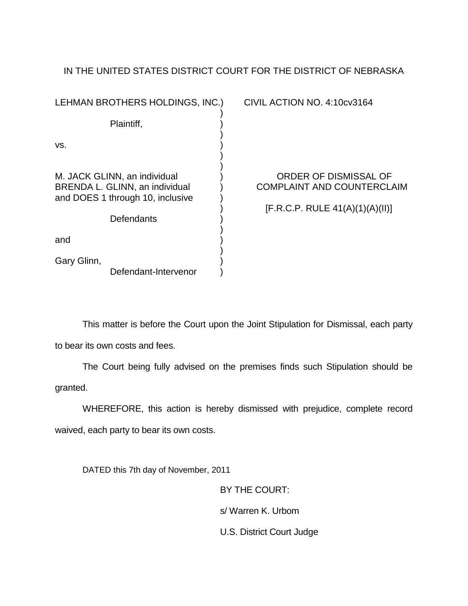## IN THE UNITED STATES DISTRICT COURT FOR THE DISTRICT OF NEBRASKA

| LEHMAN BROTHERS HOLDINGS, INC.)                                                                                  | CIVIL ACTION NO. 4:10cv3164                                                                   |
|------------------------------------------------------------------------------------------------------------------|-----------------------------------------------------------------------------------------------|
| Plaintiff,                                                                                                       |                                                                                               |
| VS.                                                                                                              |                                                                                               |
| M. JACK GLINN, an individual<br>BRENDA L. GLINN, an individual<br>and DOES 1 through 10, inclusive<br>Defendants | ORDER OF DISMISSAL OF<br><b>COMPLAINT AND COUNTERCLAIM</b><br>[F.R.C.P. RULE 41(A)(1)(A)(II)] |
| and                                                                                                              |                                                                                               |
| Gary Glinn,<br>Defendant-Intervenor                                                                              |                                                                                               |

This matter is before the Court upon the Joint Stipulation for Dismissal, each party to bear its own costs and fees.

The Court being fully advised on the premises finds such Stipulation should be granted.

WHEREFORE, this action is hereby dismissed with prejudice, complete record waived, each party to bear its own costs.

DATED this 7th day of November, 2011

BY THE COURT: s/ Warren K. Urbom U.S. District Court Judge